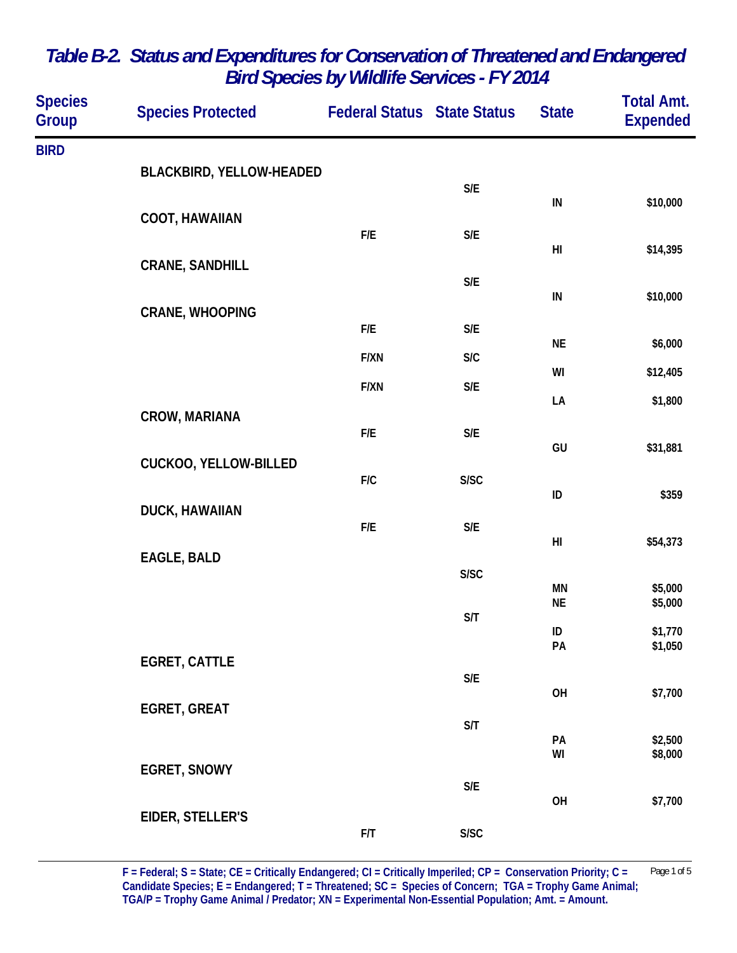| <b>Species</b><br><b>Group</b> | <b>Species Protected</b>     | <b>Federal Status State Status</b> |                         | <b>State</b>           | <b>Total Amt.</b><br><b>Expended</b> |
|--------------------------------|------------------------------|------------------------------------|-------------------------|------------------------|--------------------------------------|
| <b>BIRD</b>                    |                              |                                    |                         |                        |                                      |
|                                | BLACKBIRD, YELLOW-HEADED     |                                    | $\mathsf{S}/\mathsf{E}$ |                        |                                      |
|                                | <b>COOT, HAWAIIAN</b>        |                                    |                         | IN                     | \$10,000                             |
|                                |                              | ${\sf F/E}$                        | $\mathsf{S}/\mathsf{E}$ | H <sub>l</sub>         | \$14,395                             |
|                                | <b>CRANE, SANDHILL</b>       |                                    | $\mathsf{S}/\mathsf{E}$ |                        |                                      |
|                                | <b>CRANE, WHOOPING</b>       |                                    |                         | IN                     | \$10,000                             |
|                                |                              | ${\sf F/E}$                        | $\mathsf{S}/\mathsf{E}$ | <b>NE</b>              | \$6,000                              |
|                                |                              | F/XN                               | S/C                     | WI                     | \$12,405                             |
|                                |                              | F/XN                               | $\mathsf{S}/\mathsf{E}$ | LA                     | \$1,800                              |
|                                | CROW, MARIANA                | F/E                                | $\mathsf{S}/\mathsf{E}$ |                        |                                      |
|                                | <b>CUCKOO, YELLOW-BILLED</b> |                                    |                         | GU                     | \$31,881                             |
|                                |                              | F/C                                | S/SC                    | ID                     | \$359                                |
|                                | DUCK, HAWAIIAN               | F/E                                | $\mathsf{S}/\mathsf{E}$ |                        |                                      |
|                                | EAGLE, BALD                  |                                    |                         | $\mathsf{H}\mathsf{I}$ | \$54,373                             |
|                                |                              |                                    | S/SC                    | MN                     | \$5,000                              |
|                                |                              |                                    | $\mathsf{S}/\mathsf{T}$ | <b>NE</b>              | \$5,000                              |
|                                |                              |                                    |                         | ID<br>PA               | \$1,770<br>\$1,050                   |
|                                | <b>EGRET, CATTLE</b>         |                                    | $\mathsf{S}/\mathsf{E}$ |                        |                                      |
|                                | <b>EGRET, GREAT</b>          |                                    |                         | OH                     | \$7,700                              |
|                                |                              |                                    | S/T                     | PA                     | \$2,500                              |
|                                | <b>EGRET, SNOWY</b>          |                                    |                         | WI                     | \$8,000                              |
|                                |                              |                                    | $\mathsf{S}/\mathsf{E}$ | OH                     |                                      |
|                                | EIDER, STELLER'S             |                                    |                         |                        | \$7,700                              |
|                                |                              | ${\sf F/T}$                        | S/SC                    |                        |                                      |

**F = Federal; S = State; CE = Critically Endangered; CI = Critically Imperiled; CP = Conservation Priority; C =** Page 1 of 5 Candidate Species; E = Endangered; T = Threatened; SC = Species of Concern; TGA = Trophy Game Animal; **TGA/P = Trophy Game Animal / Predator; XN = Experimental Non-Essential Population; Amt. = Amount.**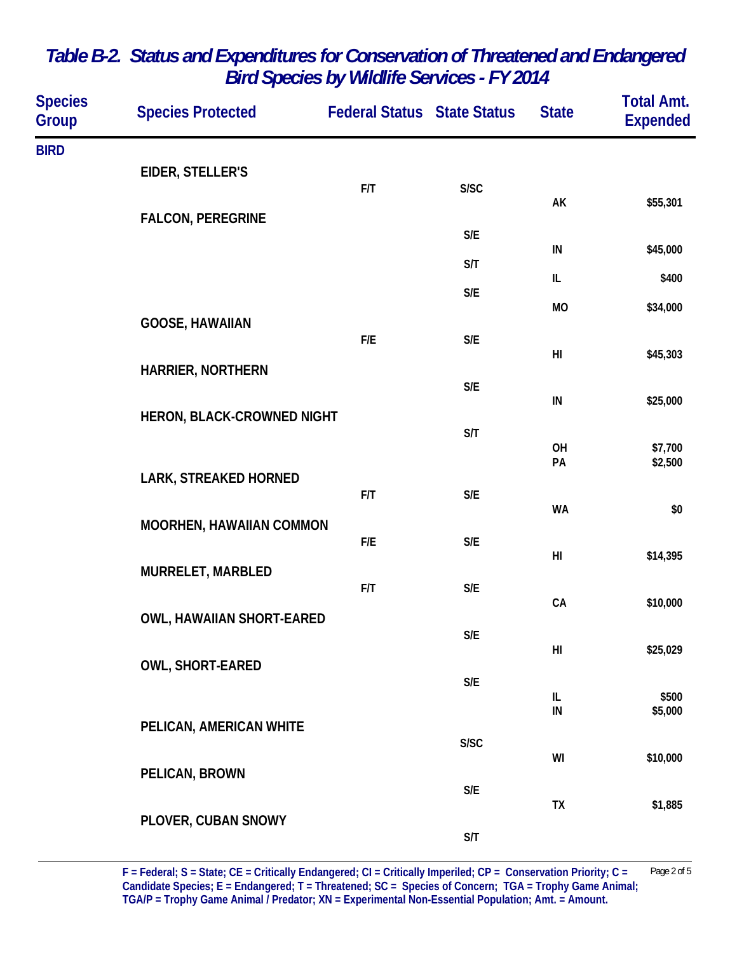| <b>Species</b><br>Group | <b>Species Protected</b>         | <b>Federal Status State Status</b> |                         | <b>State</b>     | <b>Total Amt.</b><br><b>Expended</b> |
|-------------------------|----------------------------------|------------------------------------|-------------------------|------------------|--------------------------------------|
| <b>BIRD</b>             |                                  |                                    |                         |                  |                                      |
|                         | EIDER, STELLER'S                 | F/T                                | S/SC                    |                  |                                      |
|                         | <b>FALCON, PEREGRINE</b>         |                                    |                         | AK               | \$55,301                             |
|                         |                                  |                                    | S/E                     | ${\sf IN}$       | \$45,000                             |
|                         |                                  |                                    | S/T                     | IL               | \$400                                |
|                         |                                  |                                    | S/E                     | <b>MO</b>        | \$34,000                             |
|                         | <b>GOOSE, HAWAIIAN</b>           | F/E                                | S/E                     |                  |                                      |
|                         | HARRIER, NORTHERN                |                                    |                         | H <sub>l</sub>   | \$45,303                             |
|                         |                                  |                                    | $\mathsf{S}/\mathsf{E}$ | $\sf IN$         | \$25,000                             |
|                         | HERON, BLACK-CROWNED NIGHT       |                                    | S/T                     |                  |                                      |
|                         |                                  |                                    |                         | OH<br>PA         | \$7,700<br>\$2,500                   |
|                         | LARK, STREAKED HORNED            | F/T                                | $\mathsf{S}/\mathsf{E}$ |                  |                                      |
|                         | MOORHEN, HAWAIIAN COMMON         |                                    |                         | <b>WA</b>        | \$0                                  |
|                         |                                  | F/E                                | S/E                     | H <sub>l</sub>   | \$14,395                             |
|                         | MURRELET, MARBLED                | F/T                                | $\mathsf{S}/\mathsf{E}$ |                  |                                      |
|                         | <b>OWL, HAWAIIAN SHORT-EARED</b> |                                    |                         | CA               | \$10,000                             |
|                         |                                  |                                    | S/E                     | HI               | \$25,029                             |
|                         | OWL, SHORT-EARED                 |                                    | $\mathsf{S}/\mathsf{E}$ |                  |                                      |
|                         |                                  |                                    |                         | IL<br>${\sf IN}$ | \$500<br>\$5,000                     |
|                         | PELICAN, AMERICAN WHITE          |                                    | S/SC                    |                  |                                      |
|                         | PELICAN, BROWN                   |                                    |                         | WI               | \$10,000                             |
|                         |                                  |                                    | S/E                     | TX               | \$1,885                              |
|                         | PLOVER, CUBAN SNOWY              |                                    | S/T                     |                  |                                      |

**F = Federal; S = State; CE = Critically Endangered; CI = Critically Imperiled; CP = Conservation Priority; C =** Page 2 of 5 Candidate Species; E = Endangered; T = Threatened; SC = Species of Concern; TGA = Trophy Game Animal; **TGA/P = Trophy Game Animal / Predator; XN = Experimental Non-Essential Population; Amt. = Amount.**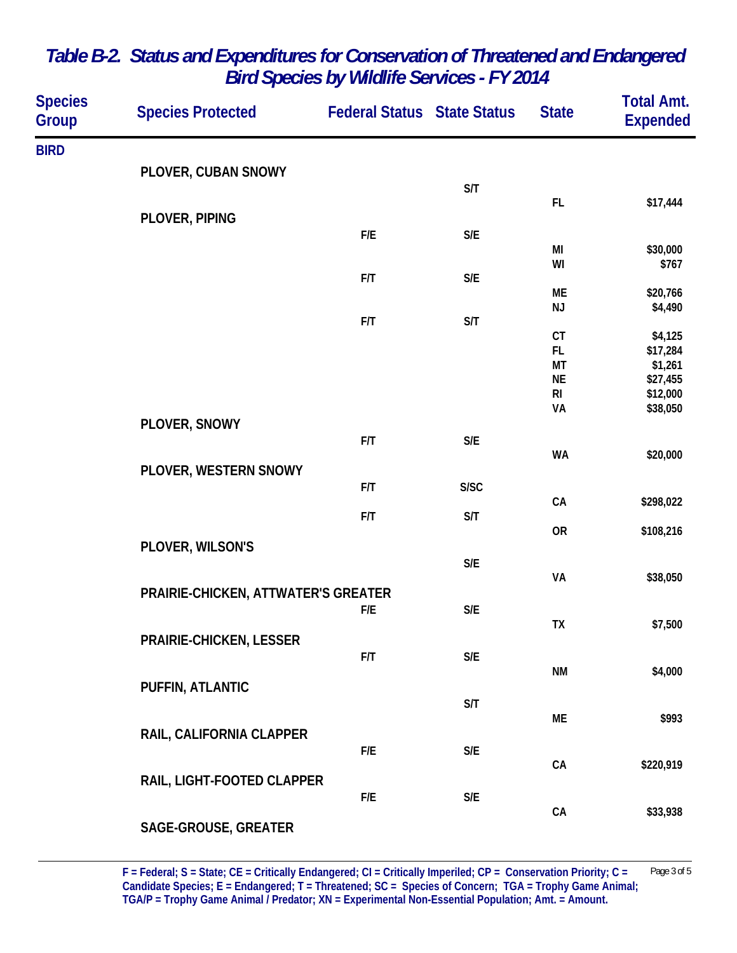| <b>Species</b><br><b>Group</b> | <b>Species Protected</b>            | <b>Federal Status State Status</b> |                         | <b>State</b>         | <b>Total Amt.</b><br><b>Expended</b> |
|--------------------------------|-------------------------------------|------------------------------------|-------------------------|----------------------|--------------------------------------|
| <b>BIRD</b>                    |                                     |                                    |                         |                      |                                      |
|                                | PLOVER, CUBAN SNOWY                 |                                    | S/T                     |                      |                                      |
|                                |                                     |                                    |                         | FL.                  | \$17,444                             |
|                                | PLOVER, PIPING                      | F/E                                | S/E                     |                      |                                      |
|                                |                                     |                                    |                         | MI                   | \$30,000                             |
|                                |                                     | F/T                                | S/E                     | WI                   | \$767                                |
|                                |                                     |                                    |                         | МE<br>NJ             | \$20,766<br>\$4,490                  |
|                                |                                     | F/T                                | S/T                     | CT                   | \$4,125                              |
|                                |                                     |                                    |                         | FL.                  | \$17,284                             |
|                                |                                     |                                    |                         | MT                   | \$1,261                              |
|                                |                                     |                                    |                         | <b>NE</b>            | \$27,455                             |
|                                |                                     |                                    |                         | R <sub>l</sub><br>VA | \$12,000<br>\$38,050                 |
|                                | PLOVER, SNOWY                       |                                    |                         |                      |                                      |
|                                |                                     | F/T                                | S/E                     | <b>WA</b>            | \$20,000                             |
|                                | PLOVER, WESTERN SNOWY               |                                    |                         |                      |                                      |
|                                |                                     | F/T                                | S/SC                    | ${\sf CA}$           | \$298,022                            |
|                                |                                     | F/T                                | S/T                     |                      |                                      |
|                                | PLOVER, WILSON'S                    |                                    |                         | <b>OR</b>            | \$108,216                            |
|                                |                                     |                                    | S/E                     | VA                   |                                      |
|                                | PRAIRIE-CHICKEN, ATTWATER'S GREATER |                                    |                         |                      | \$38,050                             |
|                                |                                     | F/E                                | $\mathsf{S}/\mathsf{E}$ |                      |                                      |
|                                |                                     |                                    |                         | TX                   | \$7,500                              |
|                                | PRAIRIE-CHICKEN, LESSER             | F/T                                | S/E                     |                      |                                      |
|                                |                                     |                                    |                         | <b>NM</b>            | \$4,000                              |
|                                | PUFFIN, ATLANTIC                    |                                    |                         |                      |                                      |
|                                |                                     |                                    | S/T                     | ME                   | \$993                                |
|                                | RAIL, CALIFORNIA CLAPPER            |                                    |                         |                      |                                      |
|                                |                                     | F/E                                | S/E                     | ${\sf CA}$           | \$220,919                            |
|                                | RAIL, LIGHT-FOOTED CLAPPER          |                                    |                         |                      |                                      |
|                                |                                     | F/E                                | $\mathsf{S}/\mathsf{E}$ |                      |                                      |
|                                | SAGE-GROUSE, GREATER                |                                    |                         | ${\sf CA}$           | \$33,938                             |
|                                |                                     |                                    |                         |                      |                                      |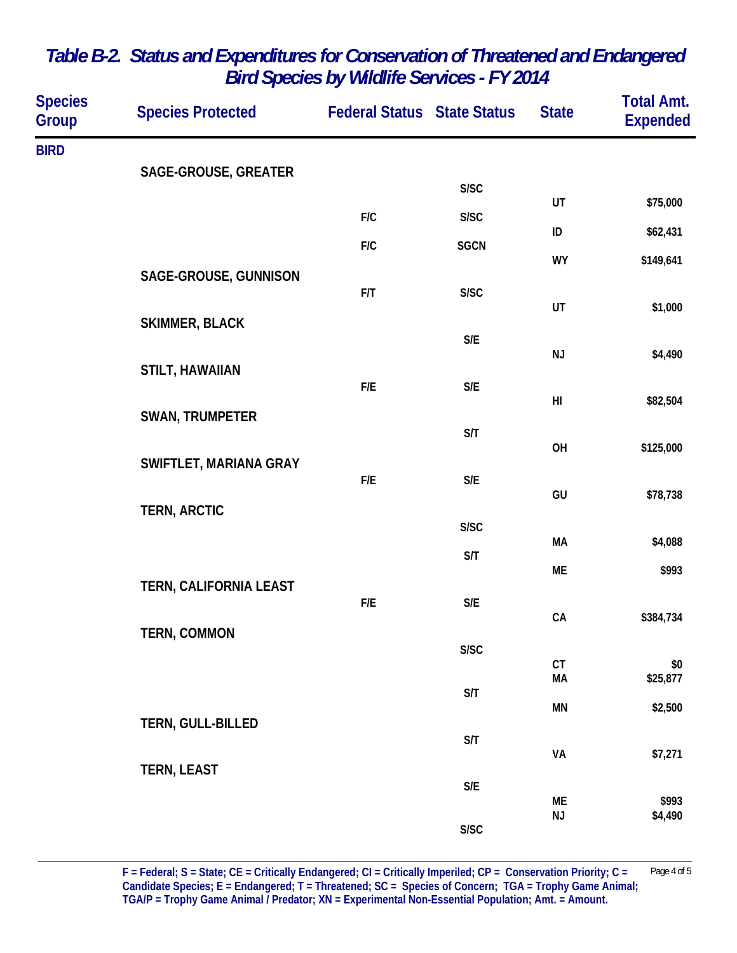| <b>Species</b><br>Group | <b>Species Protected</b> | <b>Federal Status State Status</b> |                         | <b>State</b>   | <b>Total Amt.</b><br><b>Expended</b> |
|-------------------------|--------------------------|------------------------------------|-------------------------|----------------|--------------------------------------|
| <b>BIRD</b>             |                          |                                    |                         |                |                                      |
|                         | SAGE-GROUSE, GREATER     |                                    | S/SC                    |                |                                      |
|                         |                          | F/C                                | S/SC                    | UT             | \$75,000                             |
|                         |                          | F/C                                | <b>SGCN</b>             | ID             | \$62,431                             |
|                         | SAGE-GROUSE, GUNNISON    |                                    |                         | <b>WY</b>      | \$149,641                            |
|                         |                          | F/T                                | S/SC                    | UT             | \$1,000                              |
|                         | <b>SKIMMER, BLACK</b>    |                                    |                         |                |                                      |
|                         |                          |                                    | $\mathsf{S}/\mathsf{E}$ | NJ             | \$4,490                              |
|                         | <b>STILT, HAWAIIAN</b>   | F/E                                | $\mathsf{S}/\mathsf{E}$ |                |                                      |
|                         | <b>SWAN, TRUMPETER</b>   |                                    |                         | H <sub>l</sub> | \$82,504                             |
|                         |                          |                                    | S/T                     | OH             | \$125,000                            |
|                         | SWIFTLET, MARIANA GRAY   | F/E                                |                         |                |                                      |
|                         |                          |                                    | S/E                     | GU             | \$78,738                             |
|                         | <b>TERN, ARCTIC</b>      |                                    | S/SC                    |                |                                      |
|                         |                          |                                    | S/T                     | MA             | \$4,088                              |
|                         | TERN, CALIFORNIA LEAST   |                                    |                         | ME             | \$993                                |
|                         |                          | F/E                                | $\mathsf{S}/\mathsf{E}$ | ${\sf CA}$     | \$384,734                            |
|                         | TERN, COMMON             |                                    | S/SC                    |                |                                      |
|                         |                          |                                    |                         | CT<br>MA       | \$0<br>\$25,877                      |
|                         |                          |                                    | S/T                     | MN             | \$2,500                              |
|                         | TERN, GULL-BILLED        |                                    |                         |                |                                      |
|                         |                          |                                    | S/T                     | VA             | \$7,271                              |
|                         | <b>TERN, LEAST</b>       |                                    | $\mathsf{S}/\mathsf{E}$ |                |                                      |
|                         |                          |                                    |                         | ME<br>NJ       | \$993<br>\$4,490                     |
|                         |                          |                                    | S/SC                    |                |                                      |

**F = Federal; S = State; CE = Critically Endangered; CI = Critically Imperiled; CP = Conservation Priority; C =** Page 4 of 5 **Candidate Species; E = Endangered; T = Threatened; SC = Species of Concern; TGA = Trophy Game Animal; TGA/P = Trophy Game Animal / Predator; XN = Experimental Non-Essential Population; Amt. = Amount.**